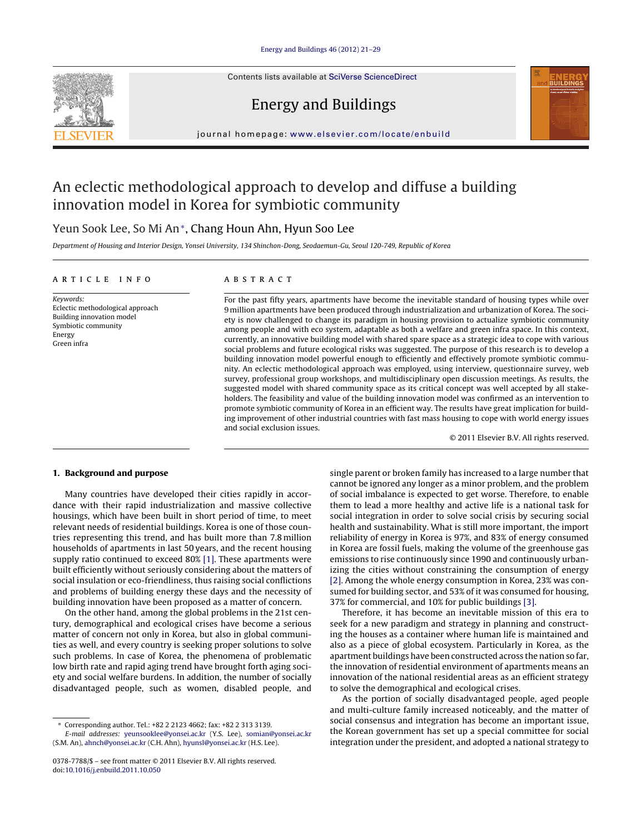Contents lists available at SciVerse [ScienceDirect](http://www.sciencedirect.com/science/journal/03787788)





## Energy and Buildings

iournal homepage: [www.elsevier.com/locate/enbuild](http://www.elsevier.com/locate/enbuild)

## An eclectic methodological approach to develop and diffuse a building innovation model in Korea for symbiotic community

### Yeun Sook Lee, So Mi An∗, Chang Houn Ahn, Hyun Soo Lee

Department of Housing and Interior Design, Yonsei University, 134 Shinchon-Dong, Seodaemun-Gu, Seoul 120-749, Republic of Korea

#### a r t i c l e i n f o

Keywords: Eclectic methodological approach Building innovation model Symbiotic community Energy Green infra

#### A B S T R A C T

For the past fifty years, apartments have become the inevitable standard of housing types while over 9 million apartments have been produced through industrialization and urbanization of Korea. The society is now challenged to change its paradigm in housing provision to actualize symbiotic community among people and with eco system, adaptable as both a welfare and green infra space. In this context, currently, an innovative building model with shared spare space as a strategic idea to cope with various social problems and future ecological risks was suggested. The purpose of this research is to develop a building innovation model powerful enough to efficiently and effectively promote symbiotic community. An eclectic methodological approach was employed, using interview, questionnaire survey, web survey, professional group workshops, and multidisciplinary open discussion meetings. As results, the suggested model with shared community space as its critical concept was well accepted by all stakeholders. The feasibility and value of the building innovation model was confirmed as an intervention to promote symbiotic community of Korea in an efficient way. The results have great implication for building improvement of other industrial countries with fast mass housing to cope with world energy issues and social exclusion issues.

© 2011 Elsevier B.V. All rights reserved.

#### **1. Background and purpose**

Many countries have developed their cities rapidly in accordance with their rapid industrialization and massive collective housings, which have been built in short period of time, to meet relevant needs of residential buildings. Korea is one of those countries representing this trend, and has built more than 7.8 million households of apartments in last 50 years, and the recent housing supply ratio continued to exceed 80% [\[1\].](#page--1-0) These apartments were built efficiently without seriously considering about the matters of social insulation or eco-friendliness, thus raising social conflictions and problems of building energy these days and the necessity of building innovation have been proposed as a matter of concern.

On the other hand, among the global problems in the 21st century, demographical and ecological crises have become a serious matter of concern not only in Korea, but also in global communities as well, and every country is seeking proper solutions to solve such problems. In case of Korea, the phenomena of problematic low birth rate and rapid aging trend have brought forth aging society and social welfare burdens. In addition, the number of socially disadvantaged people, such as women, disabled people, and

single parent or broken family has increased to a large number that cannot be ignored any longer as a minor problem, and the problem of social imbalance is expected to get worse. Therefore, to enable them to lead a more healthy and active life is a national task for social integration in order to solve social crisis by securing social health and sustainability. What is still more important, the import reliability of energy in Korea is 97%, and 83% of energy consumed in Korea are fossil fuels, making the volume of the greenhouse gas emissions to rise continuously since 1990 and continuously urbanizing the cities without constraining the consumption of energy [\[2\].](#page--1-0) Among the whole energy consumption in Korea, 23% was consumed for building sector, and 53% of it was consumed for housing, 37% for commercial, and 10% for public buildings [\[3\].](#page--1-0)

Therefore, it has become an inevitable mission of this era to seek for a new paradigm and strategy in planning and constructing the houses as a container where human life is maintained and also as a piece of global ecosystem. Particularly in Korea, as the apartment buildings have been constructed across the nation so far, the innovation of residential environment of apartments means an innovation of the national residential areas as an efficient strategy to solve the demographical and ecological crises.

As the portion of socially disadvantaged people, aged people and multi-culture family increased noticeably, and the matter of social consensus and integration has become an important issue, the Korean government has set up a special committee for social integration under the president, and adopted a national strategy to

<sup>∗</sup> Corresponding author. Tel.: +82 2 2123 4662; fax: +82 2 313 3139.

E-mail addresses: [yeunsooklee@yonsei.ac.kr](mailto:yeunsooklee@yonsei.ac.kr) (Y.S. Lee), [somian@yonsei.ac.kr](mailto:somian@yonsei.ac.kr) (S.M. An), [ahnch@yonsei.ac.kr](mailto:ahnch@yonsei.ac.kr) (C.H. Ahn), [hyunsl@yonsei.ac.kr](mailto:hyunsl@yonsei.ac.kr) (H.S. Lee).

<sup>0378-7788/\$</sup> – see front matter © 2011 Elsevier B.V. All rights reserved. doi:[10.1016/j.enbuild.2011.10.050](dx.doi.org/10.1016/j.enbuild.2011.10.050)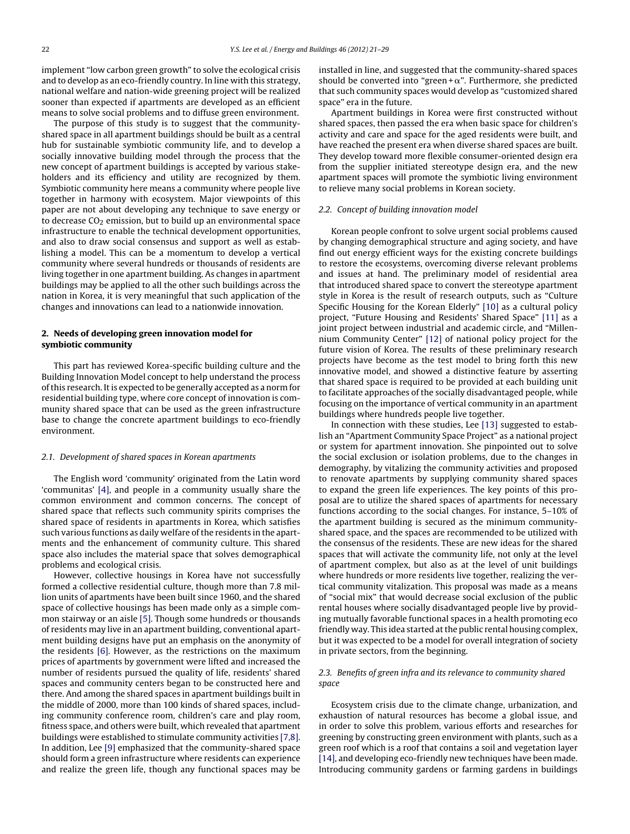implement "low carbon green growth" to solve the ecological crisis and to develop as an eco-friendly country. In line with this strategy, national welfare and nation-wide greening project will be realized sooner than expected if apartments are developed as an efficient means to solve social problems and to diffuse green environment.

The purpose of this study is to suggest that the communityshared space in all apartment buildings should be built as a central hub for sustainable symbiotic community life, and to develop a socially innovative building model through the process that the new concept of apartment buildings is accepted by various stakeholders and its efficiency and utility are recognized by them. Symbiotic community here means a community where people live together in harmony with ecosystem. Major viewpoints of this paper are not about developing any technique to save energy or to decrease  $CO<sub>2</sub>$  emission, but to build up an environmental space infrastructure to enable the technical development opportunities, and also to draw social consensus and support as well as establishing a model. This can be a momentum to develop a vertical community where several hundreds or thousands of residents are living together in one apartment building. As changes in apartment buildings may be applied to all the other such buildings across the nation in Korea, it is very meaningful that such application of the changes and innovations can lead to a nationwide innovation.

#### **2. Needs of developing green innovation model for symbiotic community**

This part has reviewed Korea-specific building culture and the Building Innovation Model concept to help understand the process ofthis research. Itis expected to be generally accepted as a norm for residential building type, where core concept of innovation is community shared space that can be used as the green infrastructure base to change the concrete apartment buildings to eco-friendly environment.

#### 2.1. Development of shared spaces in Korean apartments

The English word 'community' originated from the Latin word 'communitas' [\[4\],](#page--1-0) and people in a community usually share the common environment and common concerns. The concept of shared space that reflects such community spirits comprises the shared space of residents in apartments in Korea, which satisfies such various functions as daily welfare of the residents in the apartments and the enhancement of community culture. This shared space also includes the material space that solves demographical problems and ecological crisis.

However, collective housings in Korea have not successfully formed a collective residential culture, though more than 7.8 million units of apartments have been built since 1960, and the shared space of collective housings has been made only as a simple common stairway or an aisle [\[5\].](#page--1-0) Though some hundreds or thousands of residents may live in an apartment building, conventional apartment building designs have put an emphasis on the anonymity of the residents [\[6\].](#page--1-0) However, as the restrictions on the maximum prices of apartments by government were lifted and increased the number of residents pursued the quality of life, residents' shared spaces and community centers began to be constructed here and there. And among the shared spaces in apartment buildings built in the middle of 2000, more than 100 kinds of shared spaces, including community conference room, children's care and play room, fitness space, and others were built, which revealed that apartment buildings were established to stimulate community activities [\[7,8\].](#page--1-0) In addition, Lee [\[9\]](#page--1-0) emphasized that the community-shared space should form a green infrastructure where residents can experience and realize the green life, though any functional spaces may be

installed in line, and suggested that the community-shared spaces should be converted into "green  $+\alpha$ ". Furthermore, she predicted that such community spaces would develop as "customized shared space" era in the future.

Apartment buildings in Korea were first constructed without shared spaces, then passed the era when basic space for children's activity and care and space for the aged residents were built, and have reached the present era when diverse shared spaces are built. They develop toward more flexible consumer-oriented design era from the supplier initiated stereotype design era, and the new apartment spaces will promote the symbiotic living environment to relieve many social problems in Korean society.

#### 2.2. Concept of building innovation model

Korean people confront to solve urgent social problems caused by changing demographical structure and aging society, and have find out energy efficient ways for the existing concrete buildings to restore the ecosystems, overcoming diverse relevant problems and issues at hand. The preliminary model of residential area that introduced shared space to convert the stereotype apartment style in Korea is the result of research outputs, such as "Culture Specific Housing for the Korean Elderly" [\[10\]](#page--1-0) as a cultural policy project, "Future Housing and Residents' Shared Space" [\[11\]](#page--1-0) as a joint project between industrial and academic circle, and "Millennium Community Center" [\[12\]](#page--1-0) of national policy project for the future vision of Korea. The results of these preliminary research projects have become as the test model to bring forth this new innovative model, and showed a distinctive feature by asserting that shared space is required to be provided at each building unit to facilitate approaches of the socially disadvantaged people, while focusing on the importance of vertical community in an apartment buildings where hundreds people live together.

In connection with these studies, Lee [\[13\]](#page--1-0) suggested to establish an "Apartment Community Space Project" as a national project or system for apartment innovation. She pinpointed out to solve the social exclusion or isolation problems, due to the changes in demography, by vitalizing the community activities and proposed to renovate apartments by supplying community shared spaces to expand the green life experiences. The key points of this proposal are to utilize the shared spaces of apartments for necessary functions according to the social changes. For instance, 5–10% of the apartment building is secured as the minimum communityshared space, and the spaces are recommended to be utilized with the consensus of the residents. These are new ideas for the shared spaces that will activate the community life, not only at the level of apartment complex, but also as at the level of unit buildings where hundreds or more residents live together, realizing the vertical community vitalization. This proposal was made as a means of "social mix" that would decrease social exclusion of the public rental houses where socially disadvantaged people live by providing mutually favorable functional spaces in a health promoting eco friendly way. This idea started at the public rental housing complex, but it was expected to be a model for overall integration of society in private sectors, from the beginning.

#### 2.3. Benefits of green infra and its relevance to community shared space

Ecosystem crisis due to the climate change, urbanization, and exhaustion of natural resources has become a global issue, and in order to solve this problem, various efforts and researches for greening by constructing green environment with plants, such as a green roof which is a roof that contains a soil and vegetation layer [\[14\],](#page--1-0) and developing eco-friendly new techniques have been made. Introducing community gardens or farming gardens in buildings